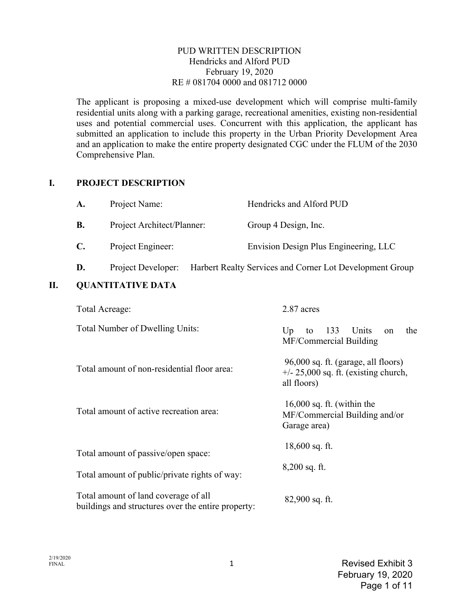#### PUD WRITTEN DESCRIPTION Hendricks and Alford PUD February 19, 2020 RE # 081704 0000 and 081712 0000

The applicant is proposing a mixed-use development which will comprise multi-family residential units along with a parking garage, recreational amenities, existing non-residential uses and potential commercial uses. Concurrent with this application, the applicant has submitted an application to include this property in the Urban Priority Development Area and an application to make the entire property designated CGC under the FLUM of the 2030 Comprehensive Plan.

### **I. PROJECT DESCRIPTION**

| <b>A.</b> | Project Name:              | Hendricks and Alford PUD              |
|-----------|----------------------------|---------------------------------------|
| <b>B.</b> | Project Architect/Planner: | Group 4 Design, Inc.                  |
| C.        | Project Engineer:          | Envision Design Plus Engineering, LLC |

# **D.** Project Developer: Harbert Realty Services and Corner Lot Development Group

# **II. QUANTITATIVE DATA**

| Total Acreage:                                                                             | 2.87 acres                                                                                   |  |  |
|--------------------------------------------------------------------------------------------|----------------------------------------------------------------------------------------------|--|--|
| Total Number of Dwelling Units:                                                            | Units<br>133<br>the<br>Up<br>to<br>on<br>MF/Commercial Building                              |  |  |
| Total amount of non-residential floor area:                                                | 96,000 sq. ft. (garage, all floors)<br>$+/- 25,000$ sq. ft. (existing church,<br>all floors) |  |  |
| Total amount of active recreation area:                                                    | $16,000$ sq. ft. (within the<br>MF/Commercial Building and/or<br>Garage area)                |  |  |
| Total amount of passive/open space:                                                        | $18,600$ sq. ft.                                                                             |  |  |
| Total amount of public/private rights of way:                                              | $8,200$ sq. ft.                                                                              |  |  |
| Total amount of land coverage of all<br>buildings and structures over the entire property: | $82,900$ sq. ft.                                                                             |  |  |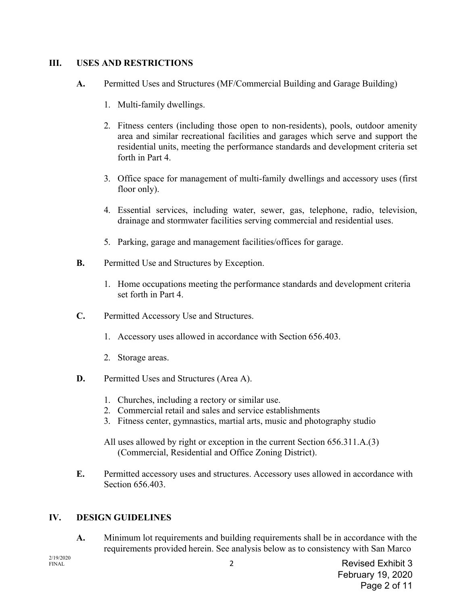# **III. USES AND RESTRICTIONS**

- **A.** Permitted Uses and Structures (MF/Commercial Building and Garage Building)
	- 1. Multi-family dwellings.
	- 2. Fitness centers (including those open to non-residents), pools, outdoor amenity area and similar recreational facilities and garages which serve and support the residential units, meeting the performance standards and development criteria set forth in Part 4.
	- 3. Office space for management of multi-family dwellings and accessory uses (first floor only).
	- 4. Essential services, including water, sewer, gas, telephone, radio, television, drainage and stormwater facilities serving commercial and residential uses.
	- 5. Parking, garage and management facilities/offices for garage.
- **B.** Permitted Use and Structures by Exception.
	- 1. Home occupations meeting the performance standards and development criteria set forth in Part 4.
- **C.** Permitted Accessory Use and Structures.
	- 1. Accessory uses allowed in accordance with Section 656.403.
	- 2. Storage areas.
- **D.** Permitted Uses and Structures (Area A).
	- 1. Churches, including a rectory or similar use.
	- 2. Commercial retail and sales and service establishments
	- 3. Fitness center, gymnastics, martial arts, music and photography studio
	- All uses allowed by right or exception in the current Section 656.311.A.(3) (Commercial, Residential and Office Zoning District).
- **E.** Permitted accessory uses and structures. Accessory uses allowed in accordance with Section 656.403.

### **IV. DESIGN GUIDELINES**

**A.** Minimum lot requirements and building requirements shall be in accordance with the requirements provided herein. See analysis below as to consistency with San Marco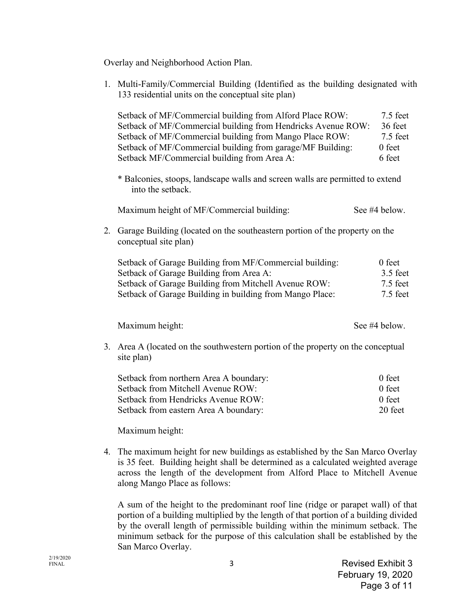Overlay and Neighborhood Action Plan.

| 1. | Multi-Family/Commercial Building (Identified as the building designated with<br>133 residential units on the conceptual site plan)                                                                                                                                                               |                                                       |  |
|----|--------------------------------------------------------------------------------------------------------------------------------------------------------------------------------------------------------------------------------------------------------------------------------------------------|-------------------------------------------------------|--|
|    | Setback of MF/Commercial building from Alford Place ROW:<br>Setback of MF/Commercial building from Hendricks Avenue ROW:<br>Setback of MF/Commercial building from Mango Place ROW:<br>Setback of MF/Commercial building from garage/MF Building:<br>Setback MF/Commercial building from Area A: | $7.5$ feet<br>36 feet<br>7.5 feet<br>0 feet<br>6 feet |  |
|    | * Balconies, stoops, landscape walls and screen walls are permitted to extend<br>into the setback.                                                                                                                                                                                               |                                                       |  |
|    | Maximum height of MF/Commercial building:                                                                                                                                                                                                                                                        | See #4 below.                                         |  |
| 2. | Garage Building (located on the southeastern portion of the property on the<br>conceptual site plan)                                                                                                                                                                                             |                                                       |  |
|    | Setback of Garage Building from MF/Commercial building:<br>Setback of Garage Building from Area A:<br>Setback of Garage Building from Mitchell Avenue ROW:<br>Setback of Garage Building in building from Mango Place:                                                                           | $0$ feet<br>3.5 feet<br>7.5 feet<br>7.5 feet          |  |
|    | Maximum height:                                                                                                                                                                                                                                                                                  | See #4 below.                                         |  |
| 3. | Area A (located on the southwestern portion of the property on the conceptual<br>site plan)                                                                                                                                                                                                      |                                                       |  |
|    | Setback from northern Area A boundary:<br>Setback from Mitchell Avenue ROW:<br>Setback from Hendricks Avenue ROW:<br>Setback from eastern Area A boundary:<br>Maximum height:                                                                                                                    | 0 feet<br>0 feet<br>0 feet<br>20 feet                 |  |
|    |                                                                                                                                                                                                                                                                                                  |                                                       |  |

4. The maximum height for new buildings as established by the San Marco Overlay is 35 feet. Building height shall be determined as a calculated weighted average across the length of the development from Alford Place to Mitchell Avenue along Mango Place as follows:

A sum of the height to the predominant roof line (ridge or parapet wall) of that portion of a building multiplied by the length of that portion of a building divided by the overall length of permissible building within the minimum setback. The minimum setback for the purpose of this calculation shall be established by the San Marco Overlay.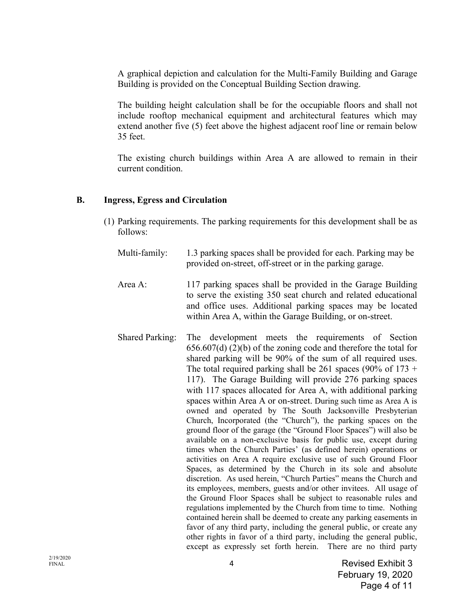A graphical depiction and calculation for the Multi-Family Building and Garage Building is provided on the Conceptual Building Section drawing.

The building height calculation shall be for the occupiable floors and shall not include rooftop mechanical equipment and architectural features which may extend another five (5) feet above the highest adjacent roof line or remain below 35 feet.

The existing church buildings within Area A are allowed to remain in their current condition.

### **B. Ingress, Egress and Circulation**

- (1) Parking requirements. The parking requirements for this development shall be as follows:
	- Multi-family: 1.3 parking spaces shall be provided for each. Parking may be provided on-street, off-street or in the parking garage.
	- Area A: 117 parking spaces shall be provided in the Garage Building to serve the existing 350 seat church and related educational and office uses. Additional parking spaces may be located within Area A, within the Garage Building, or on-street.
	- Shared Parking: The development meets the requirements of Section 656.607(d) (2)(b) of the zoning code and therefore the total for shared parking will be 90% of the sum of all required uses. The total required parking shall be 261 spaces (90% of  $173 +$ 117). The Garage Building will provide 276 parking spaces with 117 spaces allocated for Area A, with additional parking spaces within Area A or on-street. During such time as Area A is owned and operated by The South Jacksonville Presbyterian Church, Incorporated (the "Church"), the parking spaces on the ground floor of the garage (the "Ground Floor Spaces") will also be available on a non-exclusive basis for public use, except during times when the Church Parties' (as defined herein) operations or activities on Area A require exclusive use of such Ground Floor Spaces, as determined by the Church in its sole and absolute discretion. As used herein, "Church Parties" means the Church and its employees, members, guests and/or other invitees. All usage of the Ground Floor Spaces shall be subject to reasonable rules and regulations implemented by the Church from time to time. Nothing contained herein shall be deemed to create any parking easements in favor of any third party, including the general public, or create any other rights in favor of a third party, including the general public, except as expressly set forth herein. There are no third party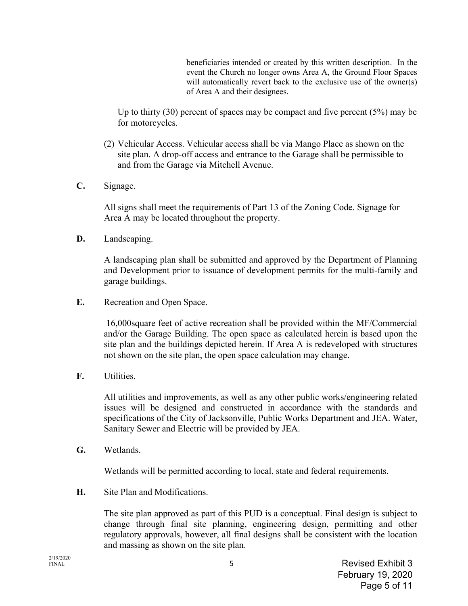beneficiaries intended or created by this written description. In the event the Church no longer owns Area A, the Ground Floor Spaces will automatically revert back to the exclusive use of the owner(s) of Area A and their designees.

Up to thirty  $(30)$  percent of spaces may be compact and five percent  $(5%)$  may be for motorcycles.

- (2) Vehicular Access. Vehicular access shall be via Mango Place as shown on the site plan. A drop-off access and entrance to the Garage shall be permissible to and from the Garage via Mitchell Avenue.
- **C.** Signage.

All signs shall meet the requirements of Part 13 of the Zoning Code. Signage for Area A may be located throughout the property.

**D.** Landscaping.

A landscaping plan shall be submitted and approved by the Department of Planning and Development prior to issuance of development permits for the multi-family and garage buildings.

**E.** Recreation and Open Space.

 16,000square feet of active recreation shall be provided within the MF/Commercial and/or the Garage Building. The open space as calculated herein is based upon the site plan and the buildings depicted herein. If Area A is redeveloped with structures not shown on the site plan, the open space calculation may change.

**F.** Utilities.

All utilities and improvements, as well as any other public works/engineering related issues will be designed and constructed in accordance with the standards and specifications of the City of Jacksonville, Public Works Department and JEA. Water, Sanitary Sewer and Electric will be provided by JEA.

**G.** Wetlands.

Wetlands will be permitted according to local, state and federal requirements.

**H.** Site Plan and Modifications.

The site plan approved as part of this PUD is a conceptual. Final design is subject to change through final site planning, engineering design, permitting and other regulatory approvals, however, all final designs shall be consistent with the location and massing as shown on the site plan.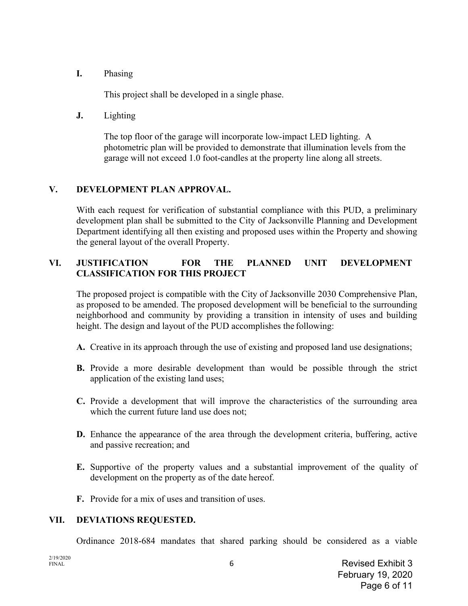**I.** Phasing

This project shall be developed in a single phase.

**J.** Lighting

The top floor of the garage will incorporate low-impact LED lighting. A photometric plan will be provided to demonstrate that illumination levels from the garage will not exceed 1.0 foot-candles at the property line along all streets.

# **V. DEVELOPMENT PLAN APPROVAL.**

With each request for verification of substantial compliance with this PUD, a preliminary development plan shall be submitted to the City of Jacksonville Planning and Development Department identifying all then existing and proposed uses within the Property and showing the general layout of the overall Property.

# **VI. JUSTIFICATION FOR THE PLANNED UNIT DEVELOPMENT CLASSIFICATION FOR THIS PROJECT**

The proposed project is compatible with the City of Jacksonville 2030 Comprehensive Plan, as proposed to be amended. The proposed development will be beneficial to the surrounding neighborhood and community by providing a transition in intensity of uses and building height. The design and layout of the PUD accomplishes the following:

- **A.** Creative in its approach through the use of existing and proposed land use designations;
- **B.** Provide a more desirable development than would be possible through the strict application of the existing land uses;
- **C.** Provide a development that will improve the characteristics of the surrounding area which the current future land use does not;
- **D.** Enhance the appearance of the area through the development criteria, buffering, active and passive recreation; and
- **E.** Supportive of the property values and a substantial improvement of the quality of development on the property as of the date hereof.
- **F.** Provide for a mix of uses and transition of uses.

# **VII. DEVIATIONS REQUESTED.**

Ordinance 2018-684 mandates that shared parking should be considered as a viable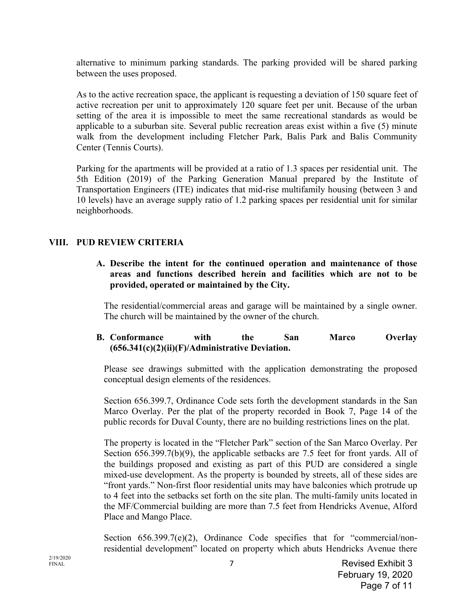alternative to minimum parking standards. The parking provided will be shared parking between the uses proposed.

 As to the active recreation space, the applicant is requesting a deviation of 150 square feet of active recreation per unit to approximately 120 square feet per unit. Because of the urban setting of the area it is impossible to meet the same recreational standards as would be applicable to a suburban site. Several public recreation areas exist within a five (5) minute walk from the development including Fletcher Park, Balis Park and Balis Community Center (Tennis Courts).

 Parking for the apartments will be provided at a ratio of 1.3 spaces per residential unit. The 5th Edition (2019) of the Parking Generation Manual prepared by the Institute of Transportation Engineers (ITE) indicates that mid-rise multifamily housing (between 3 and 10 levels) have an average supply ratio of 1.2 parking spaces per residential unit for similar neighborhoods.

### **VIII. PUD REVIEW CRITERIA**

**A. Describe the intent for the continued operation and maintenance of those areas and functions described herein and facilities which are not to be provided, operated or maintained by the City.** 

The residential/commercial areas and garage will be maintained by a single owner. The church will be maintained by the owner of the church.

### **B. Conformance with the San Marco Overlay (656.341(c)(2)(ii)(F)/Administrative Deviation.**

Please see drawings submitted with the application demonstrating the proposed conceptual design elements of the residences.

Section 656.399.7, Ordinance Code sets forth the development standards in the San Marco Overlay. Per the plat of the property recorded in Book 7, Page 14 of the public records for Duval County, there are no building restrictions lines on the plat.

The property is located in the "Fletcher Park" section of the San Marco Overlay. Per Section 656.399.7(b)(9), the applicable setbacks are 7.5 feet for front yards. All of the buildings proposed and existing as part of this PUD are considered a single mixed-use development. As the property is bounded by streets, all of these sides are "front yards." Non-first floor residential units may have balconies which protrude up to 4 feet into the setbacks set forth on the site plan. The multi-family units located in the MF/Commercial building are more than 7.5 feet from Hendricks Avenue, Alford Place and Mango Place.

Section 656.399.7(e)(2), Ordinance Code specifies that for "commercial/nonresidential development" located on property which abuts Hendricks Avenue there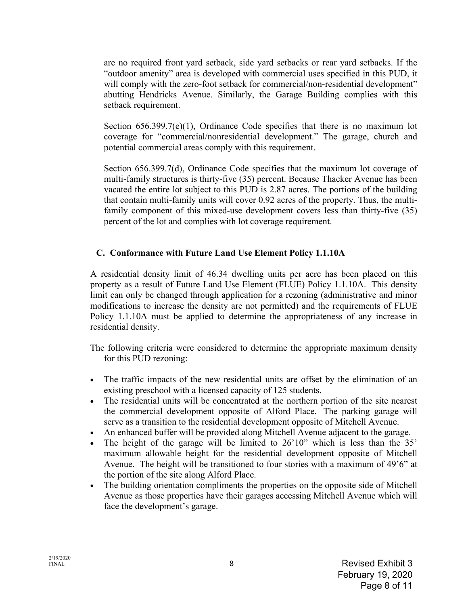are no required front yard setback, side yard setbacks or rear yard setbacks. If the "outdoor amenity" area is developed with commercial uses specified in this PUD, it will comply with the zero-foot setback for commercial/non-residential development" abutting Hendricks Avenue. Similarly, the Garage Building complies with this setback requirement.

Section 656.399.7(e)(1), Ordinance Code specifies that there is no maximum lot coverage for "commercial/nonresidential development." The garage, church and potential commercial areas comply with this requirement.

Section 656.399.7(d), Ordinance Code specifies that the maximum lot coverage of multi-family structures is thirty-five (35) percent. Because Thacker Avenue has been vacated the entire lot subject to this PUD is 2.87 acres. The portions of the building that contain multi-family units will cover 0.92 acres of the property. Thus, the multifamily component of this mixed-use development covers less than thirty-five (35) percent of the lot and complies with lot coverage requirement.

#### **C. Conformance with Future Land Use Element Policy 1.1.10A**

A residential density limit of 46.34 dwelling units per acre has been placed on this property as a result of Future Land Use Element (FLUE) Policy 1.1.10A. This density limit can only be changed through application for a rezoning (administrative and minor modifications to increase the density are not permitted) and the requirements of FLUE Policy 1.1.10A must be applied to determine the appropriateness of any increase in residential density.

The following criteria were considered to determine the appropriate maximum density for this PUD rezoning:

- The traffic impacts of the new residential units are offset by the elimination of an existing preschool with a licensed capacity of 125 students.
- The residential units will be concentrated at the northern portion of the site nearest the commercial development opposite of Alford Place. The parking garage will serve as a transition to the residential development opposite of Mitchell Avenue.
- An enhanced buffer will be provided along Mitchell Avenue adjacent to the garage.
- The height of the garage will be limited to 26'10" which is less than the 35' maximum allowable height for the residential development opposite of Mitchell Avenue. The height will be transitioned to four stories with a maximum of 49'6" at the portion of the site along Alford Place.
- The building orientation compliments the properties on the opposite side of Mitchell Avenue as those properties have their garages accessing Mitchell Avenue which will face the development's garage.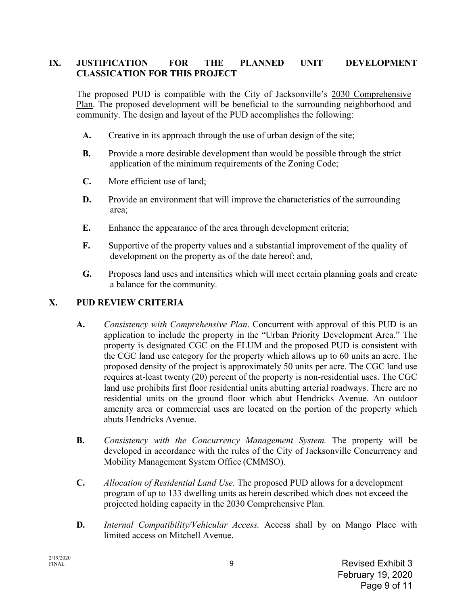# **IX. JUSTIFICATION FOR THE PLANNED UNIT DEVELOPMENT CLASSICATION FOR THIS PROJECT**

The proposed PUD is compatible with the City of Jacksonville's 2030 Comprehensive Plan. The proposed development will be beneficial to the surrounding neighborhood and community. The design and layout of the PUD accomplishes the following:

- **A.** Creative in its approach through the use of urban design of the site;
- **B.** Provide a more desirable development than would be possible through the strict application of the minimum requirements of the Zoning Code;
- **C.** More efficient use of land;
- **D.** Provide an environment that will improve the characteristics of the surrounding area;
- **E.** Enhance the appearance of the area through development criteria;
- **F.** Supportive of the property values and a substantial improvement of the quality of development on the property as of the date hereof; and,
- **G.** Proposes land uses and intensities which will meet certain planning goals and create a balance for the community.

# **X. PUD REVIEW CRITERIA**

- **A.** *Consistency with Comprehensive Plan*. Concurrent with approval of this PUD is an application to include the property in the "Urban Priority Development Area." The property is designated CGC on the FLUM and the proposed PUD is consistent with the CGC land use category for the property which allows up to 60 units an acre. The proposed density of the project is approximately 50 units per acre. The CGC land use requires at-least twenty (20) percent of the property is non-residential uses. The CGC land use prohibits first floor residential units abutting arterial roadways. There are no residential units on the ground floor which abut Hendricks Avenue. An outdoor amenity area or commercial uses are located on the portion of the property which abuts Hendricks Avenue.
- **B.** *Consistency with the Concurrency Management System.* The property will be developed in accordance with the rules of the City of Jacksonville Concurrency and Mobility Management System Office (CMMSO).
- **C.** *Allocation of Residential Land Use.* The proposed PUD allows for a development program of up to 133 dwelling units as herein described which does not exceed the projected holding capacity in the 2030 Comprehensive Plan.
- **D.** *Internal Compatibility/Vehicular Access.* Access shall by on Mango Place with limited access on Mitchell Avenue.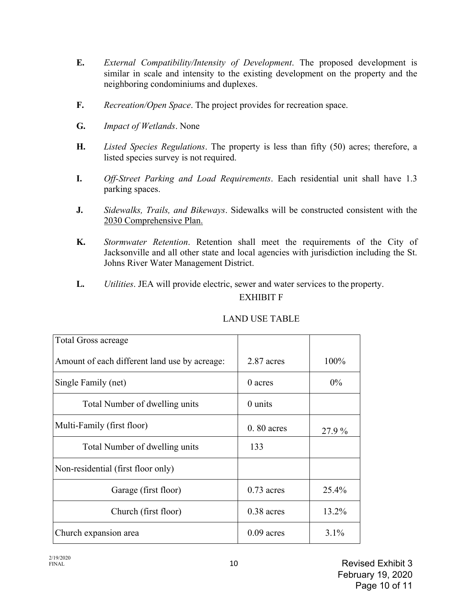- **E.** *External Compatibility/Intensity of Development*. The proposed development is similar in scale and intensity to the existing development on the property and the neighboring condominiums and duplexes.
- **F.** *Recreation/Open Space*. The project provides for recreation space.
- **G.** *Impact of Wetlands*. None
- **H.** *Listed Species Regulations*. The property is less than fifty (50) acres; therefore, a listed species survey is not required.
- **I.** *Off-Street Parking and Load Requirements*. Each residential unit shall have 1.3 parking spaces.
- **J.** *Sidewalks, Trails, and Bikeways*. Sidewalks will be constructed consistent with the 2030 Comprehensive Plan.
- **K.** *Stormwater Retention*. Retention shall meet the requirements of the City of Jacksonville and all other state and local agencies with jurisdiction including the St. Johns River Water Management District.
- **L.** *Utilities*. JEA will provide electric, sewer and water services to the property.

# EXHIBIT F

| <b>Total Gross acreage</b>                    |              |        |
|-----------------------------------------------|--------------|--------|
| Amount of each different land use by acreage: | 2.87 acres   | 100%   |
| Single Family (net)                           | $0$ acres    | $0\%$  |
| Total Number of dwelling units                | $0$ units    |        |
| Multi-Family (first floor)                    | $0.80$ acres | 27.9 % |
| Total Number of dwelling units                | 133          |        |
| Non-residential (first floor only)            |              |        |
| Garage (first floor)                          | $0.73$ acres | 25.4%  |
| Church (first floor)                          | $0.38$ acres | 13.2%  |
| Church expansion area                         | $0.09$ acres | 3.1%   |

### LAND USE TABLE